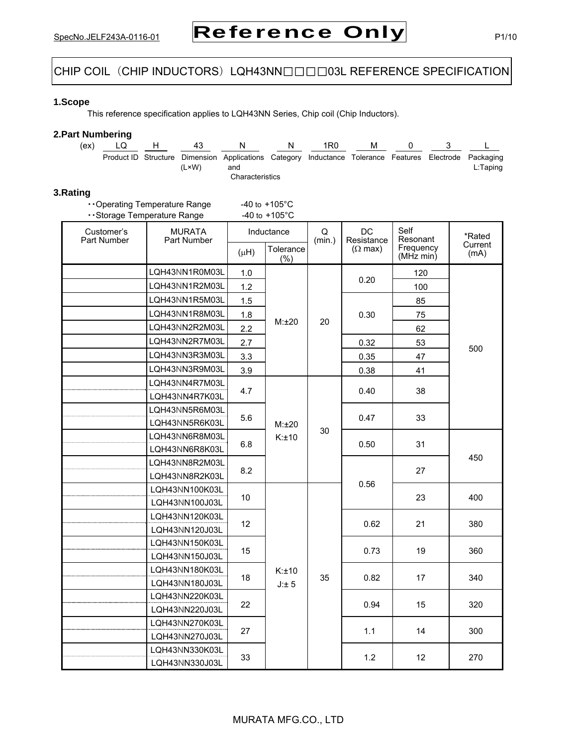# CHIP COIL (CHIP INDUCTORS) LQH43NN□□□03L REFERENCE SPECIFICATION

## **1.Scope**

This reference specification applies to LQH43NN Series, Chip coil (Chip Inductors).

## **2.Part Numbering**

| (ex) |  | 43    |                                                                                                                                  | 1R0 | м |  |          |
|------|--|-------|----------------------------------------------------------------------------------------------------------------------------------|-----|---|--|----------|
|      |  | (L×W) | Product ID Structure Dimension Applications Category Inductance Tolerance Features Electrode Packaging<br>and<br>Characteristics |     |   |  | L:Taping |

## **3.Rating**

| Operating Temperature Range | $-40$ to $+105^{\circ}$ C |
|-----------------------------|---------------------------|
| Storage Temperature Range   | $-40$ to $+105^{\circ}$ C |

| Customer's<br>Part Number | <b>MURATA</b><br>Part Number     |           | Inductance        | Q<br>(min.) | <b>DC</b><br>Resistance | Self<br>Resonant       | *Rated          |
|---------------------------|----------------------------------|-----------|-------------------|-------------|-------------------------|------------------------|-----------------|
|                           |                                  | $(\mu H)$ | Tolerance<br>(% ) |             | $(\Omega$ max)          | Frequency<br>(MHz min) | Current<br>(mA) |
|                           | LQH43NN1R0M03L                   | 1.0       |                   |             |                         | 120                    |                 |
|                           | LQH43NN1R2M03L                   | 1.2       |                   |             | 0.20                    | 100                    |                 |
|                           | LQH43NN1R5M03L                   | 1.5       |                   |             |                         | 85                     |                 |
|                           | LQH43NN1R8M03L                   | 1.8       |                   |             | 0.30                    | 75                     |                 |
|                           | LQH43NN2R2M03L                   | 2.2       | M:±20             | 20          |                         | 62                     |                 |
|                           | LQH43NN2R7M03L                   | 2.7       |                   |             | 0.32                    | 53                     |                 |
|                           | LQH43NN3R3M03L                   | 3.3       |                   |             | 0.35                    | 47                     | 500             |
|                           | LQH43NN3R9M03L                   | 3.9       |                   |             | 0.38                    | 41                     |                 |
|                           | LQH43NN4R7M03L                   |           |                   |             |                         |                        |                 |
|                           | LQH43NN4R7K03L                   | 4.7       |                   |             | 0.40                    | 38                     |                 |
|                           | LQH43NN5R6M03L                   |           |                   |             |                         |                        |                 |
|                           | 5.6<br>LQH43NN5R6K03L            |           | M:±20             | 30          | 0.47                    | 33                     |                 |
|                           | LQH43NN6R8M03L                   |           | K:±10<br>6.8      |             | 0.50                    | 31                     | 450             |
|                           | LQH43NN6R8K03L                   |           |                   |             |                         |                        |                 |
|                           | LQH43NN8R2M03L                   | 8.2       |                   |             |                         | 27                     |                 |
|                           | LQH43NN8R2K03L                   |           |                   |             | 0.56                    |                        |                 |
|                           | LQH43NN100K03L                   | 10        |                   |             |                         | 23                     | 400             |
|                           | LQH43NN100J03L                   |           |                   |             |                         |                        |                 |
|                           | LQH43NN120K03L                   | 12        |                   |             | 0.62                    | 21                     | 380             |
|                           | LQH43NN120J03L                   |           |                   |             |                         |                        |                 |
|                           | LQH43NN150K03L                   | 15        |                   |             | 0.73                    | 19                     | 360             |
|                           | LQH43NN150J03L                   |           |                   |             |                         |                        |                 |
|                           | LQH43NN180K03L                   | 18        | K:±10             | 35          | 0.82                    | 17                     | 340             |
|                           | LQH43NN180J03L                   |           | J:± 5             |             |                         |                        |                 |
|                           | LQH43NN220K03L                   | 22        |                   |             | 0.94                    | 15                     | 320             |
|                           | LQH43NN220J03L                   |           |                   |             |                         |                        |                 |
|                           | LQH43NN270K03L                   | 27        |                   |             | 1.1                     | 14                     | 300             |
|                           | LQH43NN270J03L<br>LQH43NN330K03L |           |                   |             |                         |                        |                 |
|                           | LQH43NN330J03L                   | 33        |                   |             | 1.2                     | 12                     | 270             |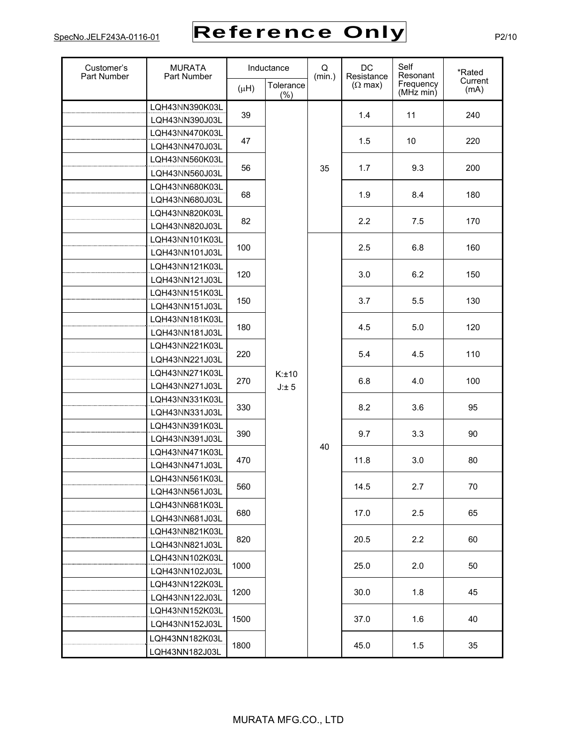| Customer's<br>Part Number | <b>MURATA</b><br>Part Number | Inductance |                  | Q<br>(min.) | DC<br>Resistance | Self<br>Resonant                 | *Rated          |
|---------------------------|------------------------------|------------|------------------|-------------|------------------|----------------------------------|-----------------|
|                           |                              | $(\mu H)$  | Tolerance<br>(%) |             | $(\Omega$ max)   | Frequency<br>$(MHz \text{ min})$ | Current<br>(mA) |
|                           | LQH43NN390K03L               | 39         |                  |             | 1.4              | 11                               | 240             |
|                           | LQH43NN390J03L               |            |                  |             |                  |                                  |                 |
|                           | LQH43NN470K03L               | 47         |                  |             | 1.5              | 10                               | 220             |
|                           | LQH43NN470J03L               |            |                  |             |                  |                                  |                 |
|                           | LQH43NN560K03L               | 56         |                  | 35          | 1.7              | 9.3                              | 200             |
|                           | LQH43NN560J03L               |            |                  |             |                  |                                  |                 |
|                           | LQH43NN680K03L               | 68         |                  |             | 1.9              | 8.4                              | 180             |
|                           | LQH43NN680J03L               |            |                  |             |                  |                                  |                 |
|                           | LQH43NN820K03L               | 82         |                  |             | 2.2              | 7.5                              | 170             |
|                           | LQH43NN820J03L               |            |                  |             |                  |                                  |                 |
|                           | LQH43NN101K03L               | 100        |                  |             | 2.5              | 6.8                              | 160             |
|                           | LQH43NN101J03L               |            |                  |             |                  |                                  |                 |
|                           | LQH43NN121K03L               | 120        |                  |             | 3.0              | 6.2                              | 150             |
|                           | LQH43NN121J03L               |            |                  |             |                  |                                  |                 |
|                           | LQH43NN151K03L               | 150        |                  |             | 3.7              | 5.5                              | 130             |
|                           | LQH43NN151J03L               |            |                  |             |                  |                                  |                 |
|                           | LQH43NN181K03L               | 180        |                  |             | 4.5              | 5.0                              | 120             |
|                           | LQH43NN181J03L               |            |                  |             |                  |                                  |                 |
|                           | LQH43NN221K03L               | 220        |                  |             | 5.4              | 4.5                              | 110             |
|                           | LQH43NN221J03L               |            |                  |             |                  |                                  |                 |
|                           | LQH43NN271K03L               | 270        | K:±10            |             | 6.8              | 4.0                              | 100             |
|                           | LQH43NN271J03L               |            | J:±5             |             |                  |                                  |                 |
|                           | LQH43NN331K03L               | 330        |                  |             | 8.2              | 3.6                              | 95              |
|                           | LQH43NN331J03L               |            |                  |             |                  |                                  |                 |
|                           | LOH43NN391K03L               | 390        |                  |             | 9.7              | 3.3                              | 90              |
|                           | LQH43NN391J03L               |            |                  | 40          |                  |                                  |                 |
|                           | LQH43NN471K03L               | 470        |                  |             | 11.8             | 3.0                              | 80              |
|                           | LQH43NN471J03L               |            |                  |             |                  |                                  |                 |
|                           | LQH43NN561K03L               | 560        |                  |             | 14.5             | 2.7                              | 70              |
|                           | LQH43NN561J03L               |            |                  |             |                  |                                  |                 |
|                           | LQH43NN681K03L               | 680        |                  |             | 17.0             | 2.5                              | 65              |
|                           | LQH43NN681J03L               |            |                  |             |                  |                                  |                 |
|                           | LQH43NN821K03L               | 820        |                  |             | 20.5             | 2.2                              | 60              |
|                           | LQH43NN821J03L               |            |                  |             |                  |                                  |                 |
|                           | LQH43NN102K03L               | 1000       |                  |             | 25.0             | 2.0                              | 50              |
|                           | LQH43NN102J03L               |            |                  |             |                  |                                  |                 |
|                           | LQH43NN122K03L               | 1200       |                  |             | 30.0             | 1.8                              | 45              |
|                           | LQH43NN122J03L               |            |                  |             |                  |                                  |                 |
|                           | LQH43NN152K03L               | 1500       |                  |             | 37.0             | 1.6                              | 40              |
|                           | LQH43NN152J03L               |            |                  |             |                  |                                  |                 |
|                           | LQH43NN182K03L               | 1800       |                  |             | 45.0             | 1.5                              | 35              |
|                           | LQH43NN182J03L               |            |                  |             |                  |                                  |                 |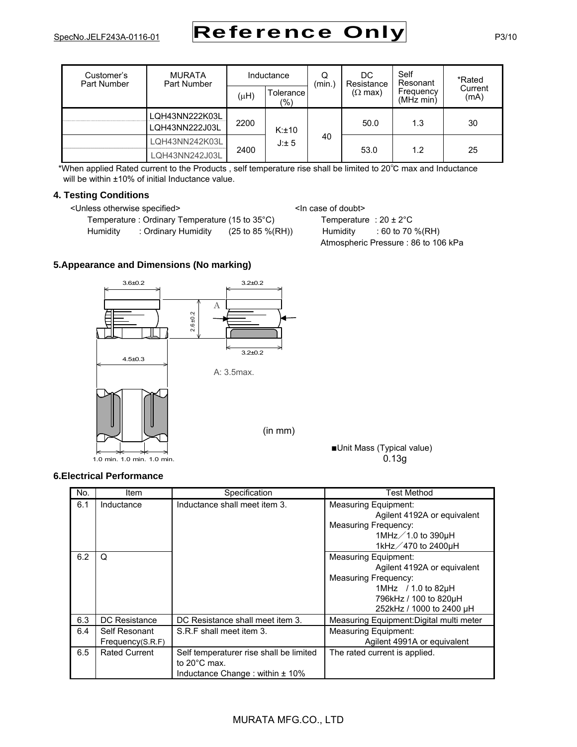| Customer's<br>Part Number | <b>MURATA</b><br>Part Number     | Inductance |                    | Q<br>(min.) | DC<br>Resistance | Self<br>Resonant       | *Rated          |
|---------------------------|----------------------------------|------------|--------------------|-------------|------------------|------------------------|-----------------|
|                           |                                  | $(\mu H)$  | Tolerance<br>(9/6) |             | $(\Omega$ max)   | Frequency<br>(MHz min) | Current<br>(mA) |
|                           | LQH43NN222K03L<br>LQH43NN222J03L | 2200       | K:±10              |             | 50.0             | 1.3                    | 30              |
|                           | LQH43NN242K03L<br>LQH43NN242J03L | 2400       |                    | 40          | 53.0             | 1.2                    | 25              |

\*When applied Rated current to the Products , self temperature rise shall be limited to 20°C max and Inductance will be within ±10% of initial Inductance value.

## **4. Testing Conditions**

<Unless otherwise specified> <In case of doubt>

Temperature : Ordinary Temperature (15 to  $35^{\circ}$ C) Temperature :  $20 \pm 2^{\circ}$ C Humidity : Ordinary Humidity (25 to 85 %(RH)) Humidity : 60 to 70 %(RH)

Atmospheric Pressure : 86 to 106 kPa

## **5.Appearance and Dimensions (No marking)**



## **6.Electrical Performance**

| No. | Item                              | Specification                                                                                            | Test Method                                                                                                                                                           |
|-----|-----------------------------------|----------------------------------------------------------------------------------------------------------|-----------------------------------------------------------------------------------------------------------------------------------------------------------------------|
| 6.1 | Inductance                        | Inductance shall meet item 3.                                                                            | <b>Measuring Equipment:</b><br>Agilent 4192A or equivalent<br>Measuring Frequency:<br>1MHz $\angle$ 1.0 to 390µH<br>1kHz / 470 to 2400µH                              |
| 6.2 | Q                                 |                                                                                                          | <b>Measuring Equipment:</b><br>Agilent 4192A or equivalent<br><b>Measuring Frequency:</b><br>1MHz $/1.0$ to 82uH<br>796kHz / 100 to 820µH<br>252kHz / 1000 to 2400 µH |
| 6.3 | DC Resistance                     | DC Resistance shall meet item 3.                                                                         | Measuring Equipment: Digital multi meter                                                                                                                              |
| 6.4 | Self Resonant<br>Frequency(S.R.F) | S.R.F shall meet item 3.                                                                                 | <b>Measuring Equipment:</b><br>Agilent 4991A or equivalent                                                                                                            |
| 6.5 | Rated Current                     | Self temperaturer rise shall be limited<br>to $20^{\circ}$ C max.<br>Inductance Change: within $\pm$ 10% | The rated current is applied.                                                                                                                                         |

## MURATA MFG.CO., LTD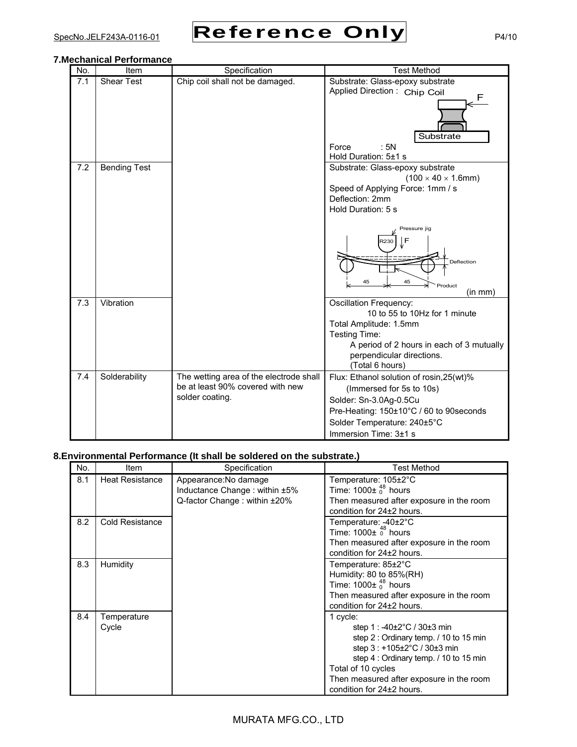

## **7.Mechanical Performance**

| No. | Item                | Specification                                                                                  | <b>Test Method</b>                                                                                                                                                                                  |
|-----|---------------------|------------------------------------------------------------------------------------------------|-----------------------------------------------------------------------------------------------------------------------------------------------------------------------------------------------------|
| 7.1 | <b>Shear Test</b>   | Chip coil shall not be damaged.                                                                | Substrate: Glass-epoxy substrate<br>Applied Direction: Chip Coil<br>F<br>Substrate<br>Force<br>: 5N                                                                                                 |
| 7.2 | <b>Bending Test</b> |                                                                                                | Hold Duration: 5±1 s<br>Substrate: Glass-epoxy substrate                                                                                                                                            |
|     |                     |                                                                                                | $(100 \times 40 \times 1.6$ mm)<br>Speed of Applying Force: 1mm / s<br>Deflection: 2mm<br>Hold Duration: 5 s                                                                                        |
|     |                     |                                                                                                | Pressure jig<br>F<br>3230<br>Deflection<br>45<br>45<br>Product<br>(in mm)                                                                                                                           |
| 7.3 | Vibration           |                                                                                                | Oscillation Frequency:<br>10 to 55 to 10Hz for 1 minute<br>Total Amplitude: 1.5mm<br>Testing Time:<br>A period of 2 hours in each of 3 mutually<br>perpendicular directions.<br>(Total 6 hours)     |
| 7.4 | Solderability       | The wetting area of the electrode shall<br>be at least 90% covered with new<br>solder coating. | Flux: Ethanol solution of rosin, 25 (wt)%<br>(Immersed for 5s to 10s)<br>Solder: Sn-3.0Ag-0.5Cu<br>Pre-Heating: 150±10°C / 60 to 90 seconds<br>Solder Temperature: 240±5°C<br>Immersion Time: 3±1 s |

# **8.Environmental Performance (It shall be soldered on the substrate.)**

| No. | Item                   | Specification                                                                          | Test Method                                                                                                                                                                                                                                                                |
|-----|------------------------|----------------------------------------------------------------------------------------|----------------------------------------------------------------------------------------------------------------------------------------------------------------------------------------------------------------------------------------------------------------------------|
| 8.1 | <b>Heat Resistance</b> | Appearance: No damage<br>Inductance Change: within ±5%<br>Q-factor Change: within ±20% | Temperature: 105±2°C<br>Time: $1000\pm\frac{48}{0}$ hours<br>Then measured after exposure in the room<br>condition for 24±2 hours.                                                                                                                                         |
| 8.2 | Cold Resistance        |                                                                                        | Temperature: -40±2°C<br>Time: $1000\pm\frac{48}{0}$ hours<br>Then measured after exposure in the room<br>condition for 24±2 hours.                                                                                                                                         |
| 8.3 | <b>Humidity</b>        |                                                                                        | Temperature: 85±2°C<br>Humidity: 80 to 85%(RH)<br>Time: $1000\pm\frac{48}{0}$ hours<br>Then measured after exposure in the room<br>condition for 24±2 hours.                                                                                                               |
| 8.4 | Temperature<br>Cycle   |                                                                                        | 1 cycle:<br>step 1 : $-40\pm2\degree C$ / 30 $\pm3$ min<br>step 2 : Ordinary temp. / 10 to 15 min<br>step 3 : +105±2°C / 30±3 min<br>step 4 : Ordinary temp. / 10 to 15 min<br>Total of 10 cycles<br>Then measured after exposure in the room<br>condition for 24±2 hours. |

# MURATA MFG.CO., LTD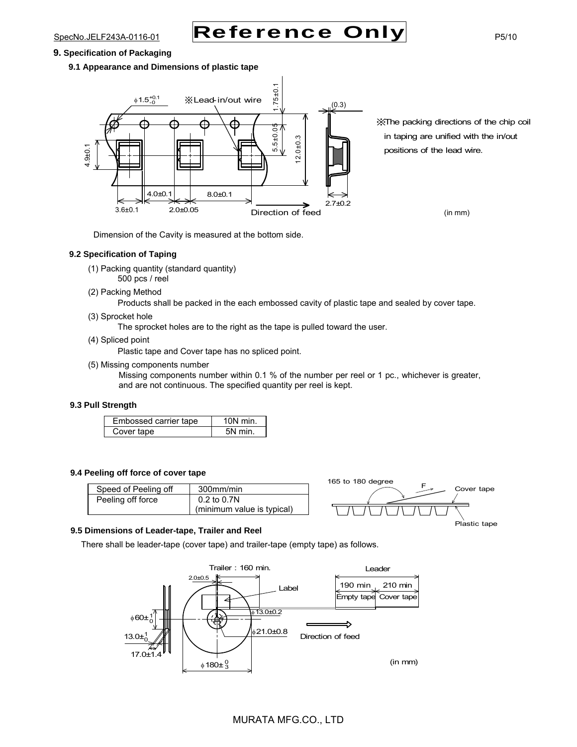### **9. Specification of Packaging**

**9.1 Appearance and Dimensions of plastic tape**



※The packing directions of the chip coil in taping are unified with the in/out positions of the lead wire.

(in mm)

Dimension of the Cavity is measured at the bottom side.

## **9.2 Specification of Taping**

- (1) Packing quantity (standard quantity) 500 pcs / reel
- (2) Packing Method

Products shall be packed in the each embossed cavity of plastic tape and sealed by cover tape.

(3) Sprocket hole

The sprocket holes are to the right as the tape is pulled toward the user.

(4) Spliced point

Plastic tape and Cover tape has no spliced point.

(5) Missing components number

Missing components number within 0.1 % of the number per reel or 1 pc., whichever is greater, and are not continuous. The specified quantity per reel is kept.

### **9.3 Pull Strength**

| Embossed carrier tape | $10N$ min. |
|-----------------------|------------|
| Cover tape            | 5N min.    |

#### **9.4 Peeling off force of cover tape**

| Speed of Peeling off | 300mm/min                  |
|----------------------|----------------------------|
| Peeling off force    | 0.2 to 0.7N                |
|                      | (minimum value is typical) |



#### **9.5 Dimensions of Leader-tape, Trailer and Reel**

There shall be leader-tape (cover tape) and trailer-tape (empty tape) as follows.

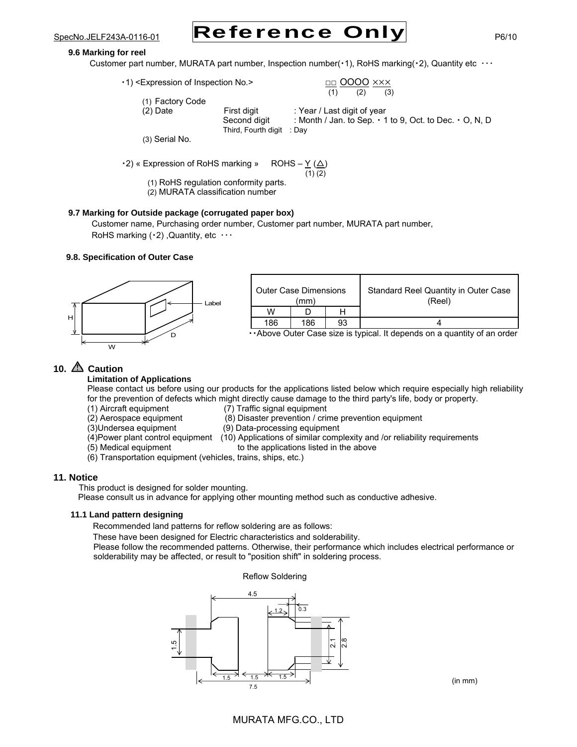### **9.6 Marking for reel**

Customer part number, MURATA part number, Inspection number( $\cdot$ 1), RoHS marking( $\cdot$ 2), Quantity etc  $\cdots$ 

· 1) <Expression of Inspection No.>

$$
\frac{\Box\Box}{(1)}\frac{OOOO}{(2)}\frac{\times\times\times}{(3)}
$$

(1) Factory Code

 $(1)$   $(2)$   $(3)$ 

(2) Date First digit : Year / Last digit of year<br>Second digit : Month / Jan. to Sep. · 1

: Month / Jan. to Sep.  $\cdot$  1 to 9, Oct. to Dec.  $\cdot$  O, N, D Third, Fourth digit : Day

(3) Serial No.

 $\cdot$ 2) « Expression of RoHS marking » ROHS – Y ( $\triangle$ )

 $(1)(2)$ 

 (1) RoHS regulation conformity parts. (2) MURATA classification number

## **9.7 Marking for Outside package (corrugated paper box)**

Customer name, Purchasing order number, Customer part number, MURATA part number, RoHS marking  $( \cdot 2)$ , Quantity, etc  $\cdots$ 

## **9.8. Specification of Outer Case**



| <b>Outer Case Dimensions</b><br>(mm) |                                           |    | Standard Reel Quantity in Outer Case<br>(Reel) |
|--------------------------------------|-------------------------------------------|----|------------------------------------------------|
| W                                    |                                           |    |                                                |
| 186                                  | 186                                       | 93 |                                                |
| . .                                  | $\overline{\phantom{a}}$<br>$\sim$ $\sim$ |    | $\cdots$<br>.                                  |

・・Above Outer Case size is typical. It depends on a quantity of an order

# **10. Caution**

**Limitation of Applications** 

Please contact us before using our products for the applications listed below which require especially high reliability for the prevention of defects which might directly cause damage to the third party's life, body or property.

- (1) Aircraft equipment (7) Traffic signal equipment
	-
- (2) Aerospace equipment (8) Disaster prevention / crime prevention equipment
- (3)Undersea equipment (9) Data-processing equipment
- (4)Power plant control equipment (10) Applications of similar complexity and /or reliability requirements
- 
- (5) Medical equipment to the applications listed in the above
- (6) Transportation equipment (vehicles, trains, ships, etc.)

## **11. Notice**

This product is designed for solder mounting.

Please consult us in advance for applying other mounting method such as conductive adhesive.

## **11.1 Land pattern designing**

Recommended land patterns for reflow soldering are as follows:

These have been designed for Electric characteristics and solderability.

Please follow the recommended patterns. Otherwise, their performance which includes electrical performance or solderability may be affected, or result to "position shift" in soldering process.

## Reflow Soldering

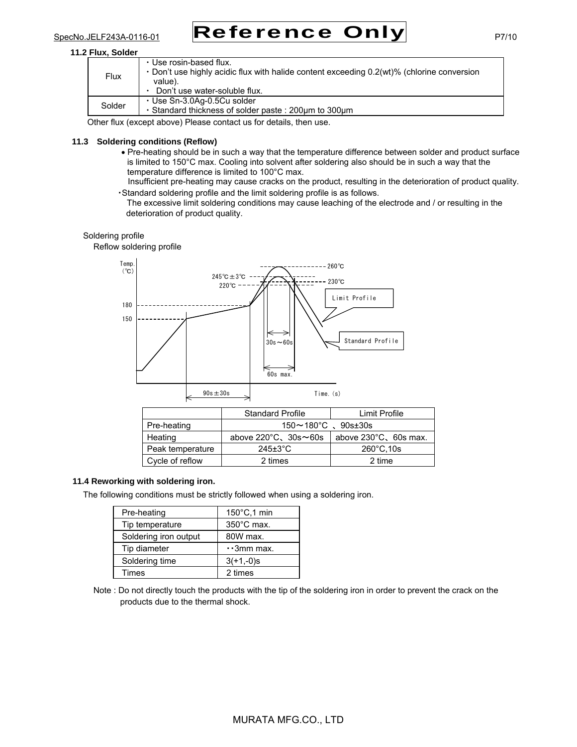## **11.2 Flux, Solder**

| Flux   | · Use rosin-based flux.<br>• Don't use highly acidic flux with halide content exceeding 0.2(wt)% (chlorine conversion<br>value).<br>Don't use water-soluble flux. |
|--------|-------------------------------------------------------------------------------------------------------------------------------------------------------------------|
| Solder | ⋅ Use Sn-3.0Aq-0.5Cu solder<br>. Standard thickness of solder paste: 200um to 300um                                                                               |

Other flux (except above) Please contact us for details, then use.

## **11.3 Soldering conditions (Reflow)**

- Pre-heating should be in such a way that the temperature difference between solder and product surface is limited to 150°C max. Cooling into solvent after soldering also should be in such a way that the temperature difference is limited to 100°C max.
- Insufficient pre-heating may cause cracks on the product, resulting in the deterioration of product quality. ・Standard soldering profile and the limit soldering profile is as follows.

The excessive limit soldering conditions may cause leaching of the electrode and / or resulting in the deterioration of product quality.

## Soldering profile

Reflow soldering profile



|                  | <b>Standard Profile</b>               | Limit Profile                   |
|------------------|---------------------------------------|---------------------------------|
| Pre-heating      | $150 \sim 180^{\circ}$ C 、90s±30s     |                                 |
| Heating          | above $220^{\circ}$ C, $30s \sim 60s$ | above $230^{\circ}$ C, 60s max. |
| Peak temperature | $245 \pm 3^{\circ}$ C                 | $260^{\circ}$ C, 10s            |
| Cycle of reflow  | 2 times                               | 2 time                          |

## **11.4 Reworking with soldering iron.**

The following conditions must be strictly followed when using a soldering iron.

| Pre-heating           | 150°C,1 min          |
|-----------------------|----------------------|
| Tip temperature       | $350^{\circ}$ C max. |
| Soldering iron output | 80W max.             |
| Tip diameter          | $\cdot$ 3mm max.     |
| Soldering time        | $3(+1,-0)$ s         |
| Times                 | 2 times              |

Note : Do not directly touch the products with the tip of the soldering iron in order to prevent the crack on the products due to the thermal shock.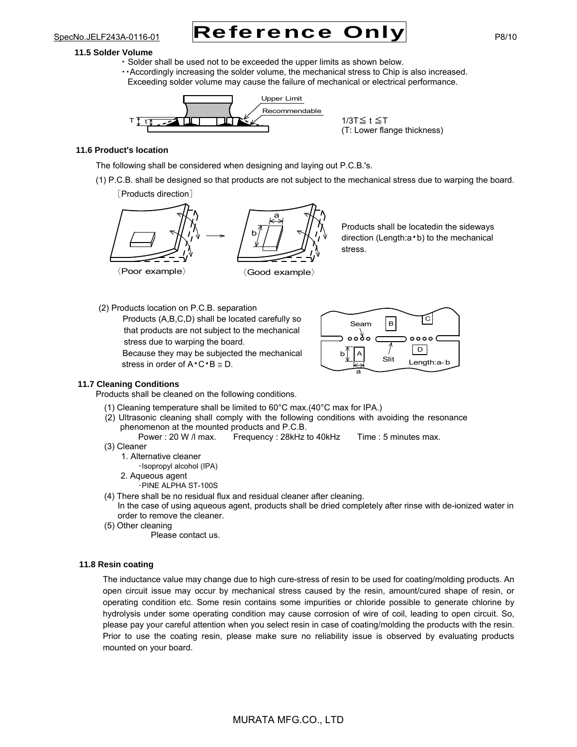#### **11.5 Solder Volume**

- ・ Solder shall be used not to be exceeded the upper limits as shown below.
- ・・Accordingly increasing the solder volume, the mechanical stress to Chip is also increased. Exceeding solder volume may cause the failure of mechanical or electrical performance.



1/3T≦ t ≦T (T: Lower flange thickness)

## **11.6 Product's location**

The following shall be considered when designing and laying out P.C.B.'s.

(1) P.C.B. shall be designed so that products are not subject to the mechanical stress due to warping the board. [Products direction]



Products shall be locatedin the sideways direction (Length:a・b) to the mechanical stress.

(2) Products location on P.C.B. separation Products (A,B,C,D) shall be located carefully so that products are not subject to the mechanical stress due to warping the board.

Because they may be subjected the mechanical stress in order of  $A \cdot C \cdot B \cong D$ .



## **11.7 Cleaning Conditions**

Products shall be cleaned on the following conditions.

- (1) Cleaning temperature shall be limited to 60°C max.(40°C max for IPA.)
- (2) Ultrasonic cleaning shall comply with the following conditions with avoiding the resonance phenomenon at the mounted products and P.C.B.

Power : 20 W / max. Frequency : 28kHz to 40kHz Time : 5 minutes max. (3) Cleaner

- 1. Alternative cleaner
	- ・Isopropyl alcohol (IPA)
	- 2. Aqueous agent
		- ・PINE ALPHA ST-100S
- (4) There shall be no residual flux and residual cleaner after cleaning.
- In the case of using aqueous agent, products shall be dried completely after rinse with de-ionized water in order to remove the cleaner.
- (5) Other cleaning

Please contact us.

## **11.8 Resin coating**

The inductance value may change due to high cure-stress of resin to be used for coating/molding products. An open circuit issue may occur by mechanical stress caused by the resin, amount/cured shape of resin, or operating condition etc. Some resin contains some impurities or chloride possible to generate chlorine by hydrolysis under some operating condition may cause corrosion of wire of coil, leading to open circuit. So, please pay your careful attention when you select resin in case of coating/molding the products with the resin. Prior to use the coating resin, please make sure no reliability issue is observed by evaluating products mounted on your board.